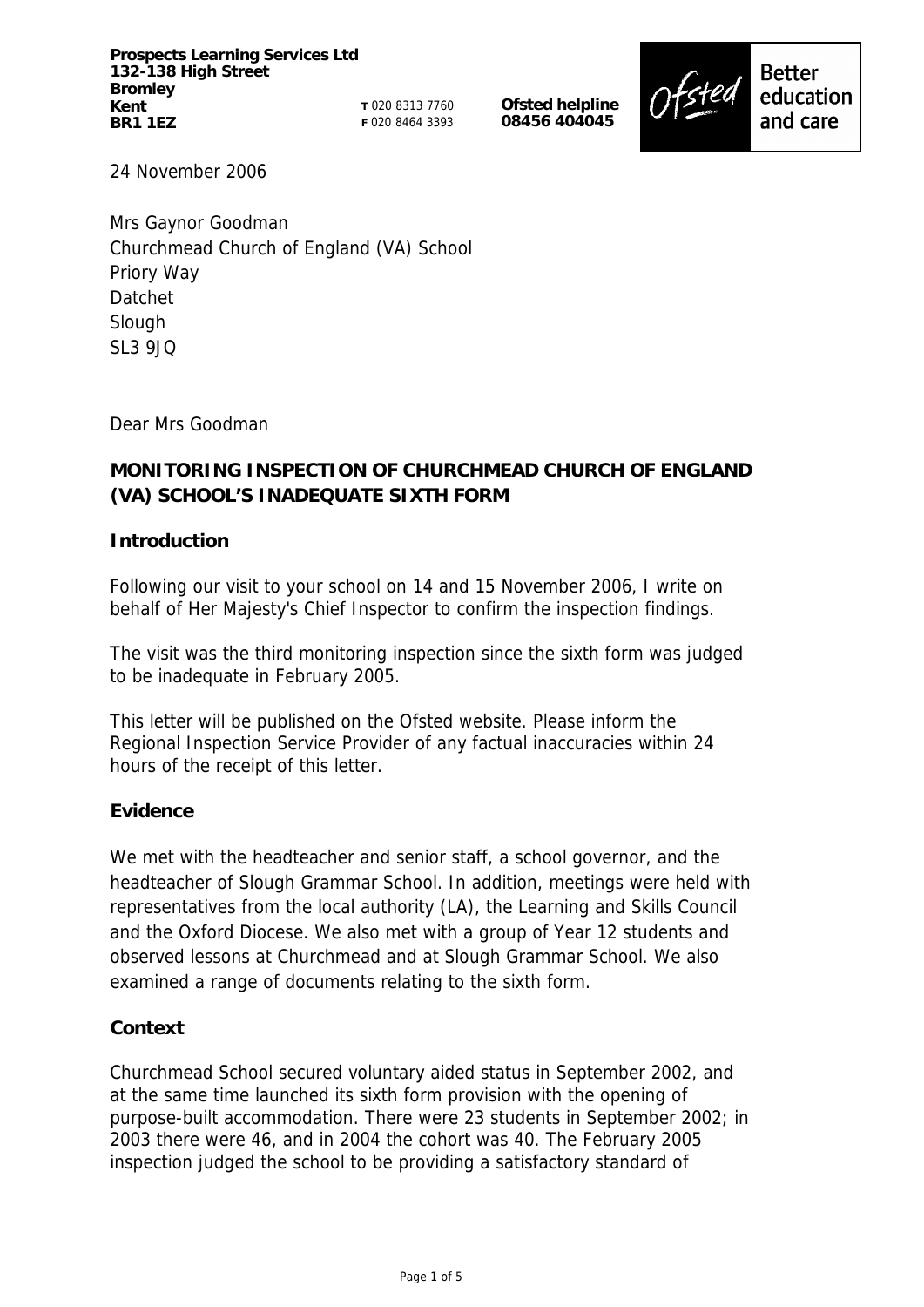**Prospects Learning Services Ltd 132-138 High Street Bromley Kent BR1 1EZ**

**T** 020 8313 7760 **F** 020 8464 3393 **Ofsted helpline 08456 404045**



24 November 2006

Mrs Gaynor Goodman Churchmead Church of England (VA) School Priory Way Datchet Slough SL3 9JQ

Dear Mrs Goodman

# **MONITORING INSPECTION OF CHURCHMEAD CHURCH OF ENGLAND (VA) SCHOOL'S INADEQUATE SIXTH FORM**

# **Introduction**

Following our visit to your school on 14 and 15 November 2006, I write on behalf of Her Majesty's Chief Inspector to confirm the inspection findings.

The visit was the third monitoring inspection since the sixth form was judged to be inadequate in February 2005.

This letter will be published on the Ofsted website. Please inform the Regional Inspection Service Provider of any factual inaccuracies within 24 hours of the receipt of this letter.

# **Evidence**

We met with the headteacher and senior staff, a school governor, and the headteacher of Slough Grammar School. In addition, meetings were held with representatives from the local authority (LA), the Learning and Skills Council and the Oxford Diocese. We also met with a group of Year 12 students and observed lessons at Churchmead and at Slough Grammar School. We also examined a range of documents relating to the sixth form.

# **Context**

Churchmead School secured voluntary aided status in September 2002, and at the same time launched its sixth form provision with the opening of purpose-built accommodation. There were 23 students in September 2002; in 2003 there were 46, and in 2004 the cohort was 40. The February 2005 inspection judged the school to be providing a satisfactory standard of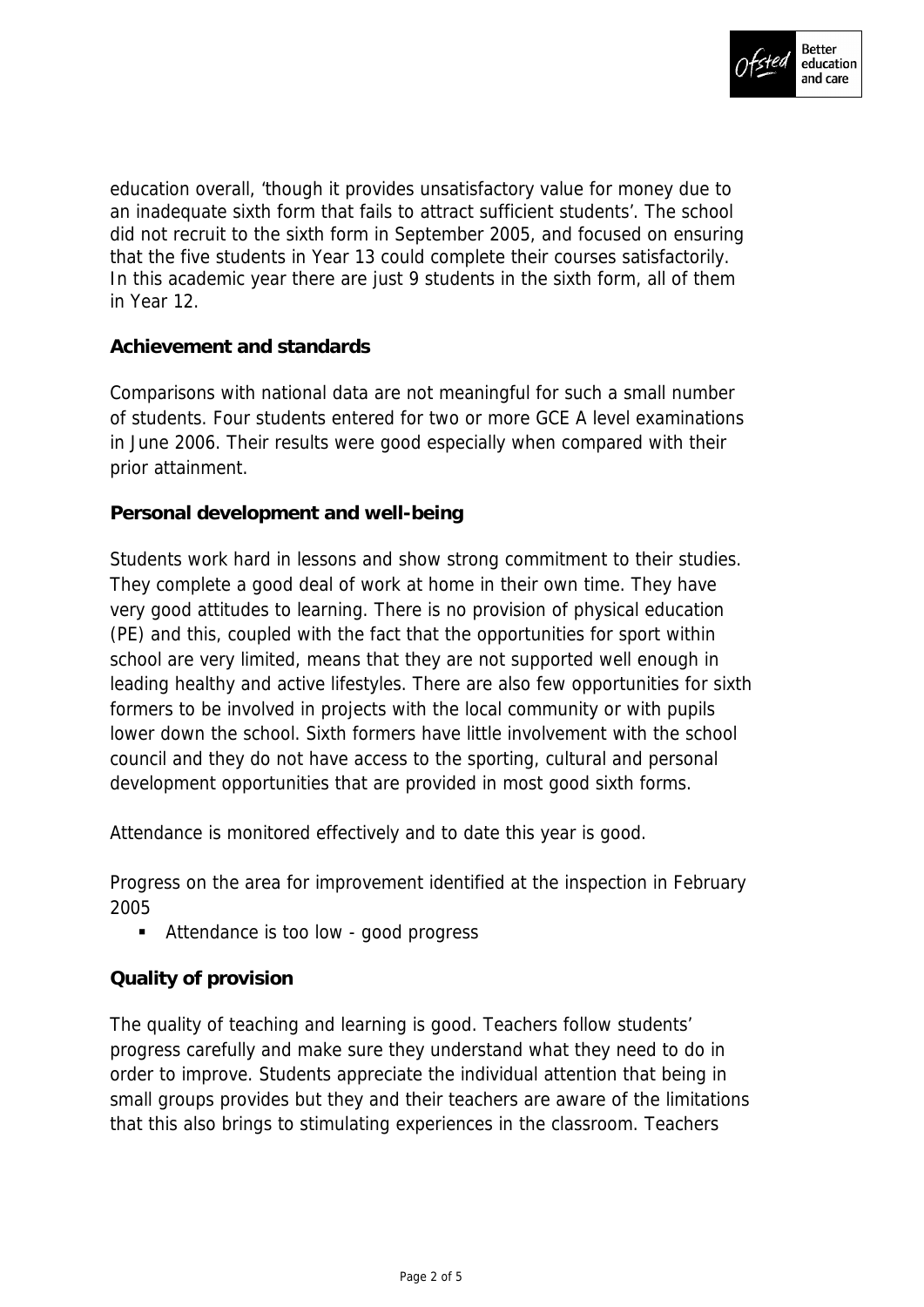

education overall, 'though it provides unsatisfactory value for money due to an inadequate sixth form that fails to attract sufficient students'. The school did not recruit to the sixth form in September 2005, and focused on ensuring that the five students in Year 13 could complete their courses satisfactorily. In this academic year there are just 9 students in the sixth form, all of them in Year 12.

# **Achievement and standards**

Comparisons with national data are not meaningful for such a small number of students. Four students entered for two or more GCE A level examinations in June 2006. Their results were good especially when compared with their prior attainment.

**Personal development and well-being**

Students work hard in lessons and show strong commitment to their studies. They complete a good deal of work at home in their own time. They have very good attitudes to learning. There is no provision of physical education (PE) and this, coupled with the fact that the opportunities for sport within school are very limited, means that they are not supported well enough in leading healthy and active lifestyles. There are also few opportunities for sixth formers to be involved in projects with the local community or with pupils lower down the school. Sixth formers have little involvement with the school council and they do not have access to the sporting, cultural and personal development opportunities that are provided in most good sixth forms.

Attendance is monitored effectively and to date this year is good.

Progress on the area for improvement identified at the inspection in February 2005

■ Attendance is too low - good progress

# **Quality of provision**

The quality of teaching and learning is good. Teachers follow students' progress carefully and make sure they understand what they need to do in order to improve. Students appreciate the individual attention that being in small groups provides but they and their teachers are aware of the limitations that this also brings to stimulating experiences in the classroom. Teachers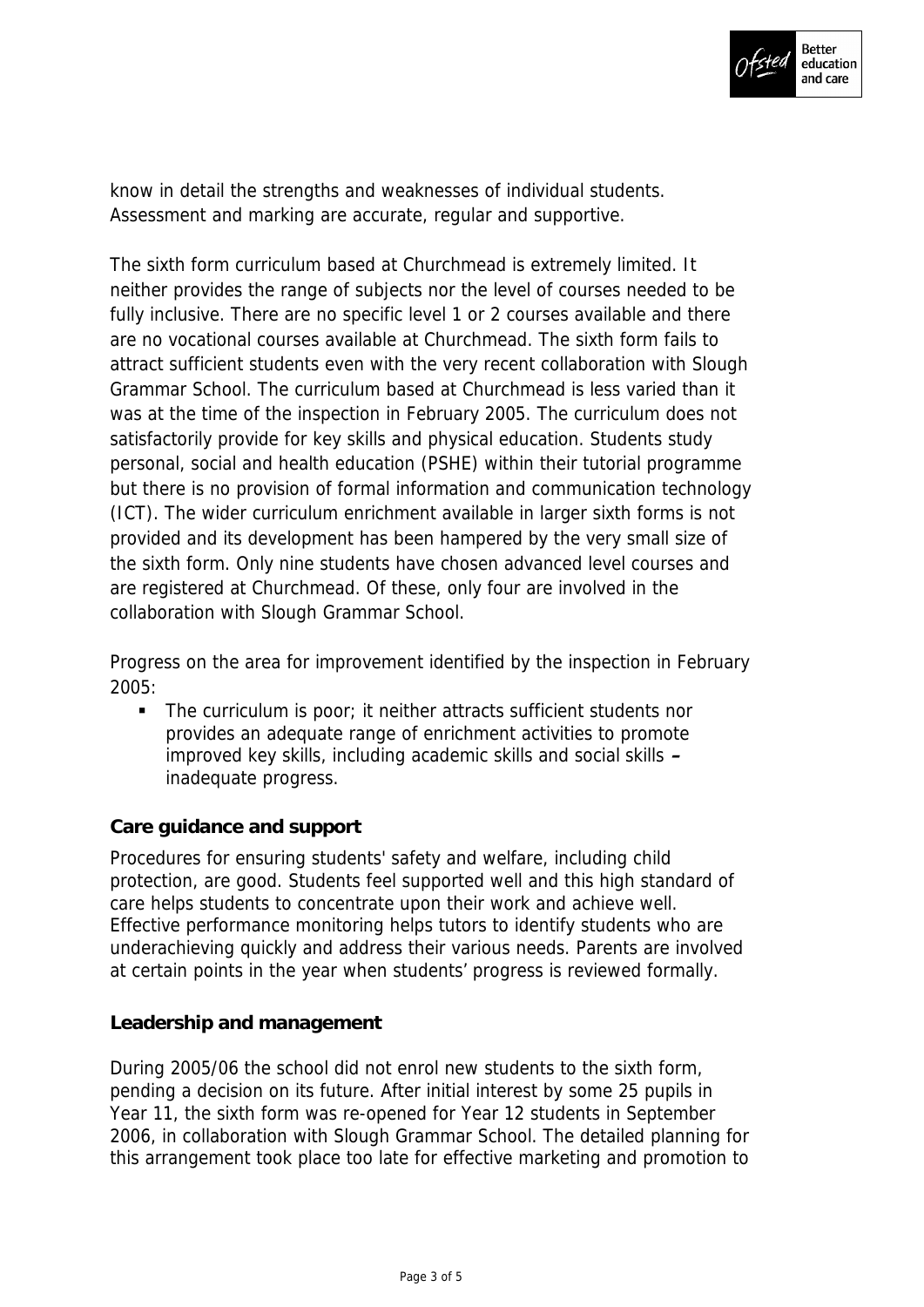

know in detail the strengths and weaknesses of individual students. Assessment and marking are accurate, regular and supportive.

The sixth form curriculum based at Churchmead is extremely limited. It neither provides the range of subjects nor the level of courses needed to be fully inclusive. There are no specific level 1 or 2 courses available and there are no vocational courses available at Churchmead. The sixth form fails to attract sufficient students even with the very recent collaboration with Slough Grammar School. The curriculum based at Churchmead is less varied than it was at the time of the inspection in February 2005. The curriculum does not satisfactorily provide for key skills and physical education. Students study personal, social and health education (PSHE) within their tutorial programme but there is no provision of formal information and communication technology (ICT). The wider curriculum enrichment available in larger sixth forms is not provided and its development has been hampered by the very small size of the sixth form. Only nine students have chosen advanced level courses and are registered at Churchmead. Of these, only four are involved in the collaboration with Slough Grammar School.

Progress on the area for improvement identified by the inspection in February 2005:

 The curriculum is poor; it neither attracts sufficient students nor provides an adequate range of enrichment activities to promote improved key skills, including academic skills and social skills **–** inadequate progress.

# **Care guidance and support**

Procedures for ensuring students' safety and welfare, including child protection, are good. Students feel supported well and this high standard of care helps students to concentrate upon their work and achieve well. Effective performance monitoring helps tutors to identify students who are underachieving quickly and address their various needs. Parents are involved at certain points in the year when students' progress is reviewed formally.

# **Leadership and management**

During 2005/06 the school did not enrol new students to the sixth form, pending a decision on its future. After initial interest by some 25 pupils in Year 11, the sixth form was re-opened for Year 12 students in September 2006, in collaboration with Slough Grammar School. The detailed planning for this arrangement took place too late for effective marketing and promotion to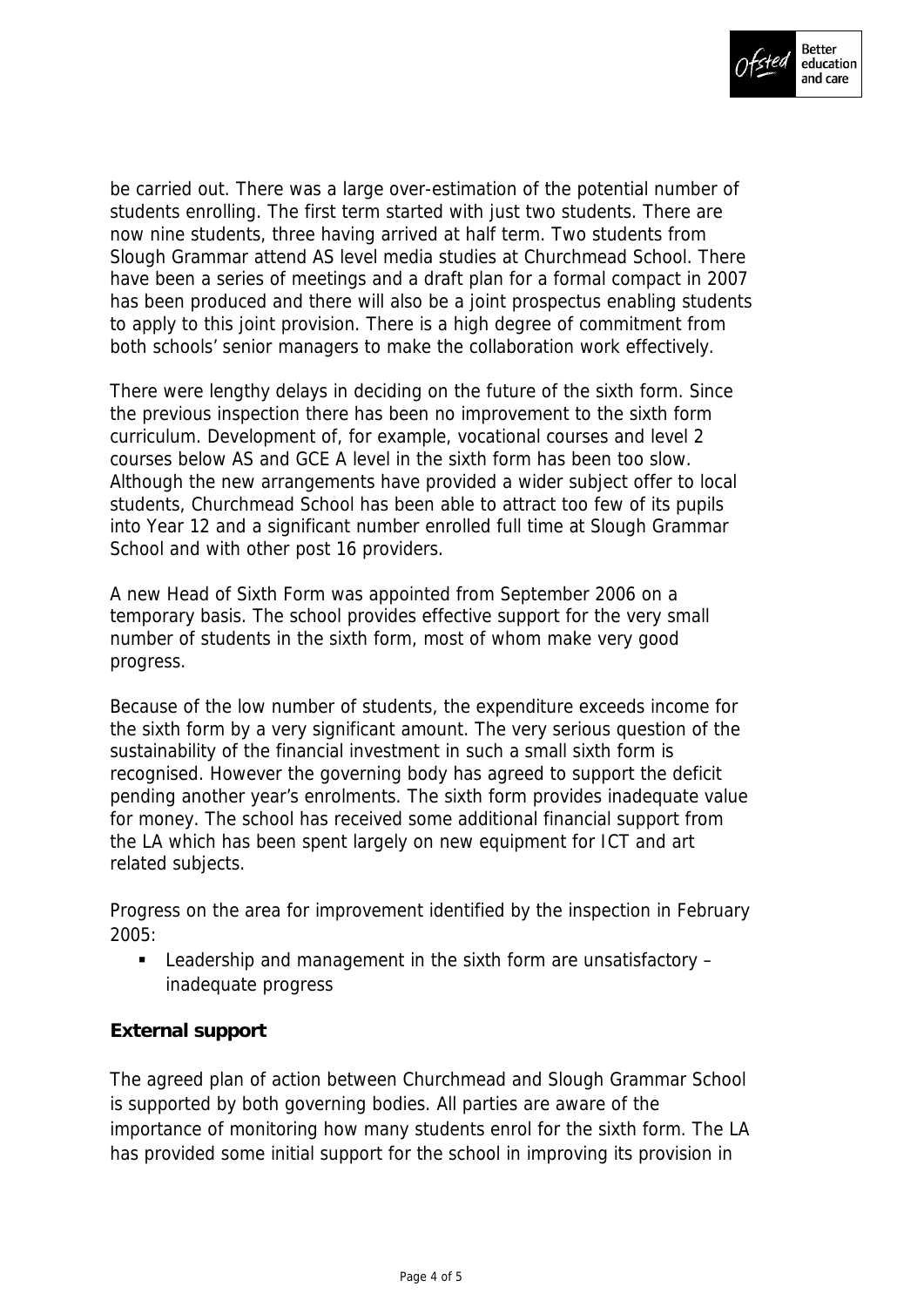

be carried out. There was a large over-estimation of the potential number of students enrolling. The first term started with just two students. There are now nine students, three having arrived at half term. Two students from Slough Grammar attend AS level media studies at Churchmead School. There have been a series of meetings and a draft plan for a formal compact in 2007 has been produced and there will also be a joint prospectus enabling students to apply to this joint provision. There is a high degree of commitment from both schools' senior managers to make the collaboration work effectively.

There were lengthy delays in deciding on the future of the sixth form. Since the previous inspection there has been no improvement to the sixth form curriculum. Development of, for example, vocational courses and level 2 courses below AS and GCE A level in the sixth form has been too slow. Although the new arrangements have provided a wider subject offer to local students, Churchmead School has been able to attract too few of its pupils into Year 12 and a significant number enrolled full time at Slough Grammar School and with other post 16 providers.

A new Head of Sixth Form was appointed from September 2006 on a temporary basis. The school provides effective support for the very small number of students in the sixth form, most of whom make very good progress.

Because of the low number of students, the expenditure exceeds income for the sixth form by a very significant amount. The very serious question of the sustainability of the financial investment in such a small sixth form is recognised. However the governing body has agreed to support the deficit pending another year's enrolments. The sixth form provides inadequate value for money. The school has received some additional financial support from the LA which has been spent largely on new equipment for ICT and art related subjects.

Progress on the area for improvement identified by the inspection in February 2005:

■ Leadership and management in the sixth form are unsatisfactory – inadequate progress

# **External support**

The agreed plan of action between Churchmead and Slough Grammar School is supported by both governing bodies. All parties are aware of the importance of monitoring how many students enrol for the sixth form. The LA has provided some initial support for the school in improving its provision in